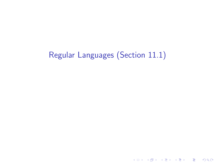# Regular Languages (Section 11.1)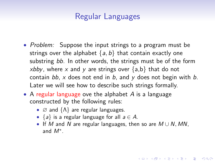## Regular Languages

- Problem: Suppose the input strings to a program must be strings over the alphabet  $\{a, b\}$  that contain exactly one substring bb. In other words, the strings must be of the form xbby, where x and y are strings over  $\{a,b\}$  that do not contain  $bb$ , x does not end in  $b$ , and  $y$  does not begin with  $b$ . Later we will see how to describe such strings formally.
- A regular language ove the alphabet  $A$  is a language constructed by the following rules:
	- $\varnothing$  and  $\{\Lambda\}$  are regular languages.
	- ${a}$  is a regular language for all  $a \in A$ .
	- If M and N are regular languages, then so are  $M \cup N$ , MN, and M<sup>∗</sup> .

**K ロ ▶ K @ ▶ K 할 X X 할 X → 할 X → 9 Q Q ^**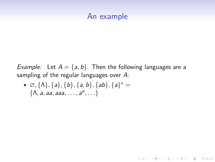### An example

*Example:* Let  $A = \{a, b\}$ . Then the following languages are a sampling of the regular languages over A:

**KORK ERKER ADE YOUR** 

•  $\varnothing$ , { $\Lambda$ }, { $a$ }, { $b$ }, { $a$ ,  $b$ }, { $ab$ }, { $a$ }<sup>\*</sup> =  $\{\Lambda, a, aa, aaa, \ldots, a^n, \ldots\}$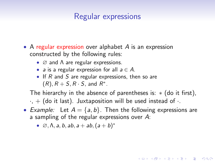### Regular expressions

- A regular expression over alphabet  $A$  is an expression constructed by the following rules:
	- $\varnothing$  and Λ are regular expressions.
	- a is a regular expression for all  $a \in A$ .
	- If  $R$  and  $S$  are regular expressions, then so are  $(R), R+S, R \cdot S$ , and  $R^*$ .

The hierarchy in the absence of parentheses is:  $*($  do it first),  $\cdot$ ,  $+$  (do it last). Juxtaposition will be used instead of  $\cdot$ .

• Example: Let  $A = \{a, b\}$ . Then the following expressions are a sampling of the regular expressions over A:

**KORKAR KERKER EL VOLO** 

•  $\varnothing$ ,  $\Lambda$ ,  $a$ ,  $b$ ,  $ab$ ,  $a + ab$ ,  $(a + b)^*$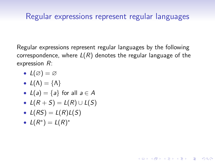### Regular expressions represent regular languages

Regular expressions represent regular languages by the following correspondence, where  $L(R)$  denotes the regular language of the expression R:

**KORK STRAIN A BAR SHOP** 

$$
\bullet\ \ L(\varnothing)=\varnothing
$$

- $L(\Lambda) = {\Lambda}$
- $L(a) = \{a\}$  for all  $a \in A$
- $L(R + S) = L(R) \cup L(S)$
- $L(RS) = L(R)L(S)$
- $L(R^*) = L(R)^*$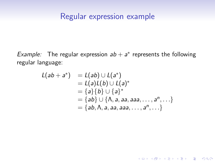### Regular expression example

Example: The regular expression  $ab + a^*$  represents the following regular language:

$$
L(ab + a^*) = L(ab) \cup L(a^*)
$$
  
= L(a)L(b) \cup L(a)^\*  
= {a}{b} \cup {a}^\*  
= {ab} \cup {A, a, aa, aaa, ..., a^n, ...}  
= {ab, A, a, aa, aaa, ..., a^n, ...}

K ロ ▶ K @ ▶ K 할 ▶ K 할 ▶ ... 할 → 9 Q @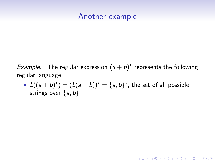### Another example

Example: The regular expression  $(a + b)^*$  represents the following regular language:

•  $L((a + b)^*) = (L(a + b))^* = {a, b}^*$ , the set of all possible strings over  $\{a, b\}$ .

**KORK ERKER ADE YOUR**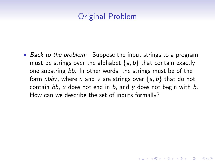# Original Problem

• Back to the problem: Suppose the input strings to a program must be strings over the alphabet  $\{a, b\}$  that contain exactly one substring bb. In other words, the strings must be of the form xbby, where x and y are strings over  $\{a, b\}$  that do not contain bb, x does not end in b, and y does not begin with b. How can we describe the set of inputs formally?

**KORKAR KERKER EL VOLO**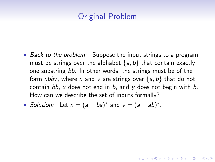# Original Problem

• Back to the problem: Suppose the input strings to a program must be strings over the alphabet  $\{a, b\}$  that contain exactly one substring bb. In other words, the strings must be of the form xbby, where x and y are strings over  $\{a, b\}$  that do not contain bb, x does not end in b, and y does not begin with b. How can we describe the set of inputs formally?

**KORKAR KERKER EL VOLO** 

• Solution: Let  $x = (a + ba)^*$  and  $y = (a + ab)^*$ .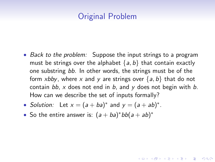# Original Problem

• Back to the problem: Suppose the input strings to a program must be strings over the alphabet  $\{a, b\}$  that contain exactly one substring bb. In other words, the strings must be of the form xbby, where x and y are strings over  $\{a, b\}$  that do not contain bb, x does not end in b, and y does not begin with b. How can we describe the set of inputs formally?

**KORKAR KERKER EL VOLO** 

- Solution: Let  $x = (a + ba)^*$  and  $y = (a + ab)^*$ .
- So the entire answer is:  $(a + ba)^*bb(a + ab)^*$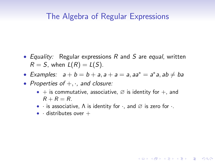### The Algebra of Regular Expressions

- Equality: Regular expressions  $R$  and  $S$  are equal, written  $R = S$ , when  $L(R) = L(S)$ .
- Examples:  $a + b = b + a$ ,  $a + a = a$ ,  $aa^* = a^*a$ ,  $ab \neq ba$
- Properties of  $+, \cdot$ , and closure:
	- + is commutative, associative,  $\varnothing$  is identity for +, and  $R + R = R$ .

**KORK ERKER ADE YOUR** 

- · is associative, Λ is identity for ·, and ∅ is zero for ·.
- $\bullet$  · distributes over  $+$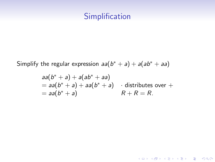# **Simplification**

Simplify the regular expression  $aa(b^* + a) + a(ab^* + aa)$ 

$$
aa(b^* + a) + a(ab^* + aa)
$$
  
=  $aa(b^* + a) + aa(b^* + a)$   $\cdot$  distributes over +  
=  $aa(b^* + a)$   $R + R = R$ .

K ロ X イロ X K ミ X K ミ X ミ X Y Q Q Q